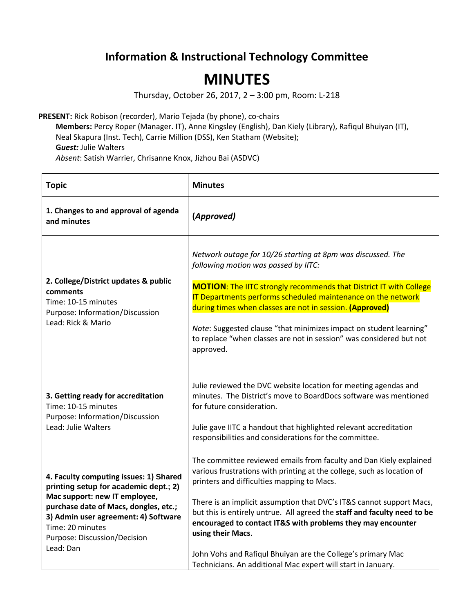## **Information & Instructional Technology Committee**

## **MINUTES**

Thursday, October 26, 2017, 2 – 3:00 pm, Room: L-218

**PRESENT:** Rick Robison (recorder), Mario Tejada (by phone), co-chairs

**Members:** Percy Roper (Manager. IT), Anne Kingsley (English), Dan Kiely (Library), Rafiqul Bhuiyan (IT), Neal Skapura (Inst. Tech), Carrie Million (DSS), Ken Statham (Website); **G***uest:* Julie Walters *Absent*: Satish Warrier, Chrisanne Knox, Jizhou Bai (ASDVC)

| <b>Topic</b>                                                                                                                                                                                                                                                       | <b>Minutes</b>                                                                                                                                                                                                                                                                                                                                                                                                                                                                                                                                                    |
|--------------------------------------------------------------------------------------------------------------------------------------------------------------------------------------------------------------------------------------------------------------------|-------------------------------------------------------------------------------------------------------------------------------------------------------------------------------------------------------------------------------------------------------------------------------------------------------------------------------------------------------------------------------------------------------------------------------------------------------------------------------------------------------------------------------------------------------------------|
| 1. Changes to and approval of agenda<br>and minutes                                                                                                                                                                                                                | (Approved)                                                                                                                                                                                                                                                                                                                                                                                                                                                                                                                                                        |
| 2. College/District updates & public<br>comments<br>Time: 10-15 minutes<br>Purpose: Information/Discussion<br>Lead: Rick & Mario                                                                                                                                   | Network outage for 10/26 starting at 8pm was discussed. The<br>following motion was passed by IITC:<br><b>MOTION:</b> The IITC strongly recommends that District IT with College<br>IT Departments performs scheduled maintenance on the network<br>during times when classes are not in session. (Approved)<br>Note: Suggested clause "that minimizes impact on student learning"<br>to replace "when classes are not in session" was considered but not<br>approved.                                                                                            |
| 3. Getting ready for accreditation<br>Time: 10-15 minutes<br>Purpose: Information/Discussion<br>Lead: Julie Walters                                                                                                                                                | Julie reviewed the DVC website location for meeting agendas and<br>minutes. The District's move to BoardDocs software was mentioned<br>for future consideration.<br>Julie gave IITC a handout that highlighted relevant accreditation<br>responsibilities and considerations for the committee.                                                                                                                                                                                                                                                                   |
| 4. Faculty computing issues: 1) Shared<br>printing setup for academic dept.; 2)<br>Mac support: new IT employee,<br>purchase date of Macs, dongles, etc.;<br>3) Admin user agreement: 4) Software<br>Time: 20 minutes<br>Purpose: Discussion/Decision<br>Lead: Dan | The committee reviewed emails from faculty and Dan Kiely explained<br>various frustrations with printing at the college, such as location of<br>printers and difficulties mapping to Macs.<br>There is an implicit assumption that DVC's IT&S cannot support Macs,<br>but this is entirely untrue. All agreed the staff and faculty need to be<br>encouraged to contact IT&S with problems they may encounter<br>using their Macs.<br>John Vohs and Rafiqul Bhuiyan are the College's primary Mac<br>Technicians. An additional Mac expert will start in January. |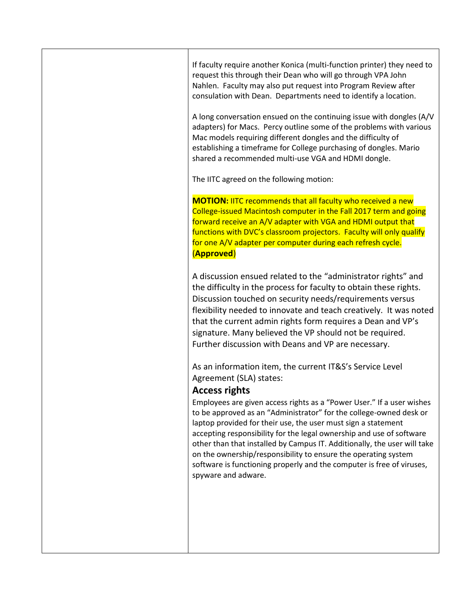If faculty require another Konica (multi-function printer) they need to request this through their Dean who will go through VPA John Nahlen. Faculty may also put request into Program Review after consulation with Dean. Departments need to identify a location.

A long conversation ensued on the continuing issue with dongles (A/V adapters) for Macs. Percy outline some of the problems with various Mac models requiring different dongles and the difficulty of establishing a timeframe for College purchasing of dongles. Mario shared a recommended multi-use VGA and HDMI dongle.

The IITC agreed on the following motion:

**MOTION:** IITC recommends that all faculty who received a new College-issued Macintosh computer in the Fall 2017 term and going forward receive an A/V adapter with VGA and HDMI output that functions with DVC's classroom projectors. Faculty will only qualify for one A/V adapter per computer during each refresh cycle. (**Approved**)

A discussion ensued related to the "administrator rights" and the difficulty in the process for faculty to obtain these rights. Discussion touched on security needs/requirements versus flexibility needed to innovate and teach creatively. It was noted that the current admin rights form requires a Dean and VP's signature. Many believed the VP should not be required. Further discussion with Deans and VP are necessary.

As an information item, the current IT&S's Service Level Agreement (SLA) states:

## **Access rights**

Employees are given access rights as a "Power User." If a user wishes to be approved as an "Administrator" for the college-owned desk or laptop provided for their use, the user must sign a statement accepting responsibility for the legal ownership and use of software other than that installed by Campus IT. Additionally, the user will take on the ownership/responsibility to ensure the operating system software is functioning properly and the computer is free of viruses, spyware and adware.